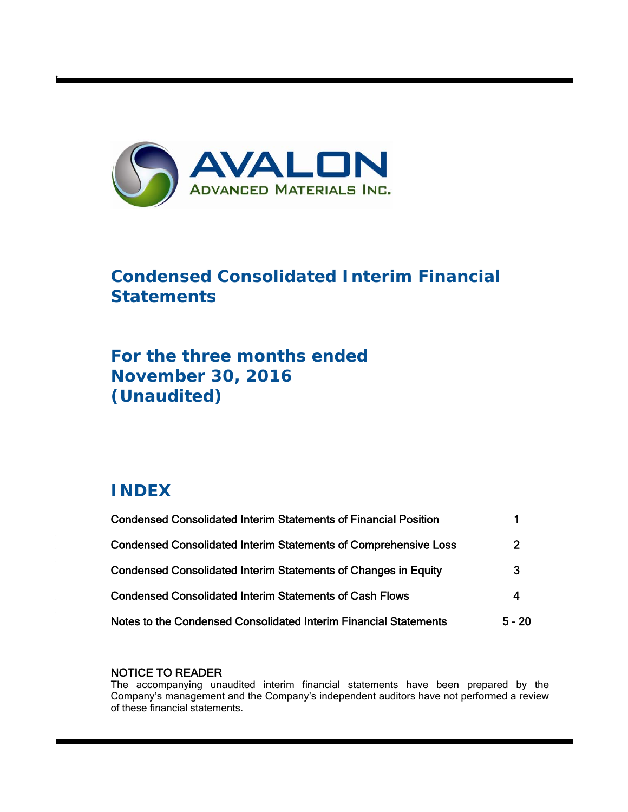

# **Condensed Consolidated Interim Financial Statements**

# **For the three months ended November 30, 2016 (Unaudited)**

# **INDEX**

t

| <b>Condensed Consolidated Interim Statements of Financial Position</b> |          |
|------------------------------------------------------------------------|----------|
| <b>Condensed Consolidated Interim Statements of Comprehensive Loss</b> | 2        |
| Condensed Consolidated Interim Statements of Changes in Equity         | 3        |
| <b>Condensed Consolidated Interim Statements of Cash Flows</b>         | 4        |
| Notes to the Condensed Consolidated Interim Financial Statements       | $5 - 20$ |

## NOTICE TO READER

The accompanying unaudited interim financial statements have been prepared by the Company's management and the Company's independent auditors have not performed a review of these financial statements.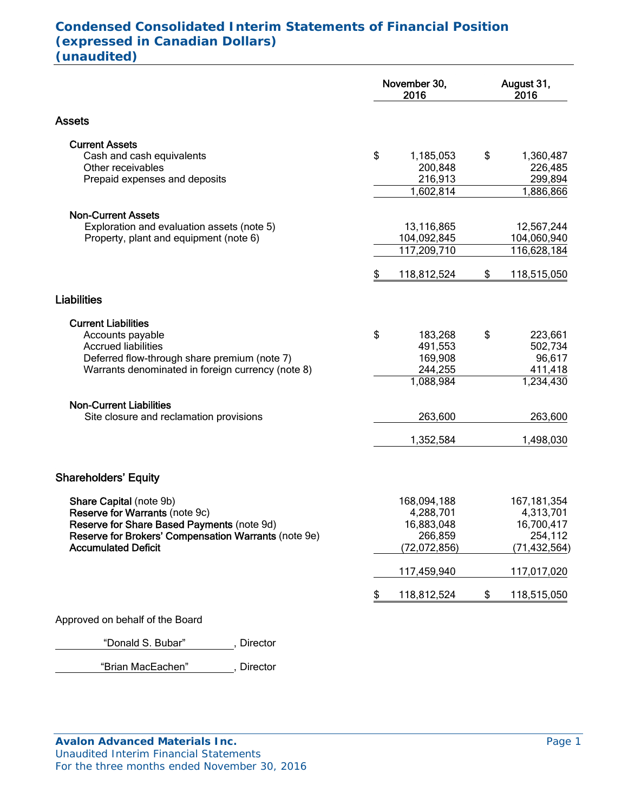# **Condensed Consolidated Interim Statements of Financial Position (expressed in Canadian Dollars) (unaudited)**

|                                                                                                                                                     | November 30,<br>2016                           | August 31,<br>2016                            |  |
|-----------------------------------------------------------------------------------------------------------------------------------------------------|------------------------------------------------|-----------------------------------------------|--|
| <b>Assets</b>                                                                                                                                       |                                                |                                               |  |
| <b>Current Assets</b><br>Cash and cash equivalents                                                                                                  | \$<br>1,185,053                                | \$<br>1,360,487                               |  |
| Other receivables<br>Prepaid expenses and deposits                                                                                                  | 200,848<br>216,913<br>1,602,814                | 226,485<br>299,894<br>1,886,866               |  |
| <b>Non-Current Assets</b>                                                                                                                           |                                                |                                               |  |
| Exploration and evaluation assets (note 5)<br>Property, plant and equipment (note 6)                                                                | 13,116,865<br>104,092,845                      | 12,567,244<br>104,060,940                     |  |
|                                                                                                                                                     | \$<br>117,209,710<br>118,812,524               | \$<br>116,628,184<br>118,515,050              |  |
| <b>Liabilities</b>                                                                                                                                  |                                                |                                               |  |
| <b>Current Liabilities</b>                                                                                                                          |                                                |                                               |  |
| Accounts payable<br><b>Accrued liabilities</b><br>Deferred flow-through share premium (note 7)<br>Warrants denominated in foreign currency (note 8) | \$<br>183,268<br>491,553<br>169,908<br>244,255 | \$<br>223,661<br>502,734<br>96,617<br>411,418 |  |
|                                                                                                                                                     | 1,088,984                                      | 1,234,430                                     |  |
| <b>Non-Current Liabilities</b><br>Site closure and reclamation provisions                                                                           | 263,600                                        | 263,600                                       |  |
|                                                                                                                                                     | 1,352,584                                      | 1,498,030                                     |  |
| <b>Shareholders' Equity</b>                                                                                                                         |                                                |                                               |  |
| Share Capital (note 9b)<br>Reserve for Warrants (note 9c)<br>Reserve for Share Based Payments (note 9d)                                             | 168,094,188<br>4,288,701<br>16,883,048         | 167, 181, 354<br>4,313,701<br>16,700,417      |  |
| Reserve for Brokers' Compensation Warrants (note 9e)<br><b>Accumulated Deficit</b>                                                                  | 266,859<br>(72, 072, 856)                      | 254,112<br>(71, 432, 564)                     |  |
|                                                                                                                                                     | 117,459,940                                    | 117,017,020                                   |  |
|                                                                                                                                                     | \$<br>118,812,524                              | \$<br>118,515,050                             |  |
| Approved on behalf of the Board                                                                                                                     |                                                |                                               |  |

"Donald S. Bubar" , Director

"Brian MacEachen" , Director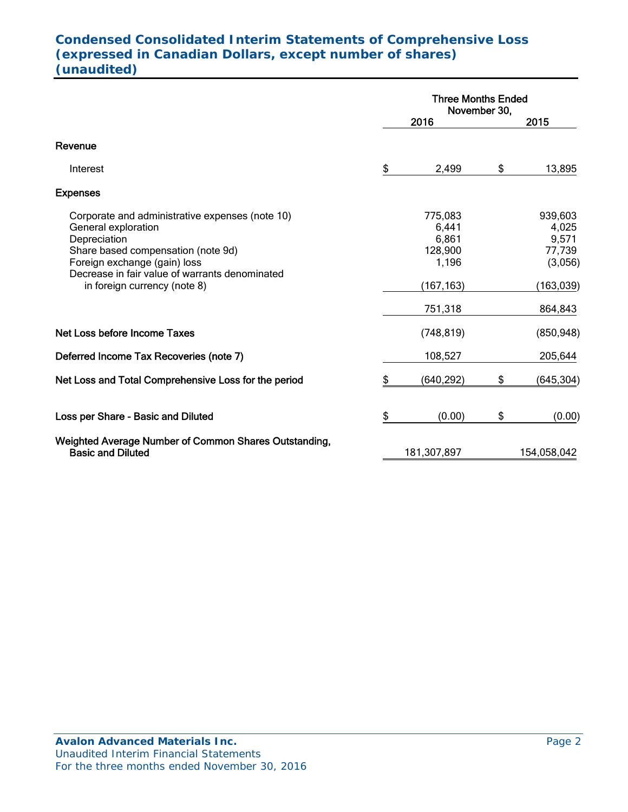# **Condensed Consolidated Interim Statements of Comprehensive Loss (expressed in Canadian Dollars, except number of shares) (unaudited)**

|                                                                                                                                                                                                                                                |    | <b>Three Months Ended</b><br>November 30,                   |    |                                                              |  |  |
|------------------------------------------------------------------------------------------------------------------------------------------------------------------------------------------------------------------------------------------------|----|-------------------------------------------------------------|----|--------------------------------------------------------------|--|--|
|                                                                                                                                                                                                                                                |    | 2016                                                        |    | 2015                                                         |  |  |
| Revenue                                                                                                                                                                                                                                        |    |                                                             |    |                                                              |  |  |
| Interest                                                                                                                                                                                                                                       | \$ | 2,499                                                       | \$ | 13,895                                                       |  |  |
| <b>Expenses</b>                                                                                                                                                                                                                                |    |                                                             |    |                                                              |  |  |
| Corporate and administrative expenses (note 10)<br>General exploration<br>Depreciation<br>Share based compensation (note 9d)<br>Foreign exchange (gain) loss<br>Decrease in fair value of warrants denominated<br>in foreign currency (note 8) |    | 775,083<br>6,441<br>6,861<br>128,900<br>1,196<br>(167, 163) |    | 939,603<br>4,025<br>9,571<br>77,739<br>(3,056)<br>(163, 039) |  |  |
|                                                                                                                                                                                                                                                |    | 751,318                                                     |    | 864,843                                                      |  |  |
| Net Loss before Income Taxes                                                                                                                                                                                                                   |    | (748, 819)                                                  |    | (850, 948)                                                   |  |  |
| Deferred Income Tax Recoveries (note 7)                                                                                                                                                                                                        |    | 108,527                                                     |    | 205,644                                                      |  |  |
| Net Loss and Total Comprehensive Loss for the period                                                                                                                                                                                           | \$ | (640, 292)                                                  | \$ | (645, 304)                                                   |  |  |
| Loss per Share - Basic and Diluted                                                                                                                                                                                                             | \$ | (0.00)                                                      | \$ | (0.00)                                                       |  |  |
| Weighted Average Number of Common Shares Outstanding,<br><b>Basic and Diluted</b>                                                                                                                                                              |    | 181,307,897                                                 |    | 154,058,042                                                  |  |  |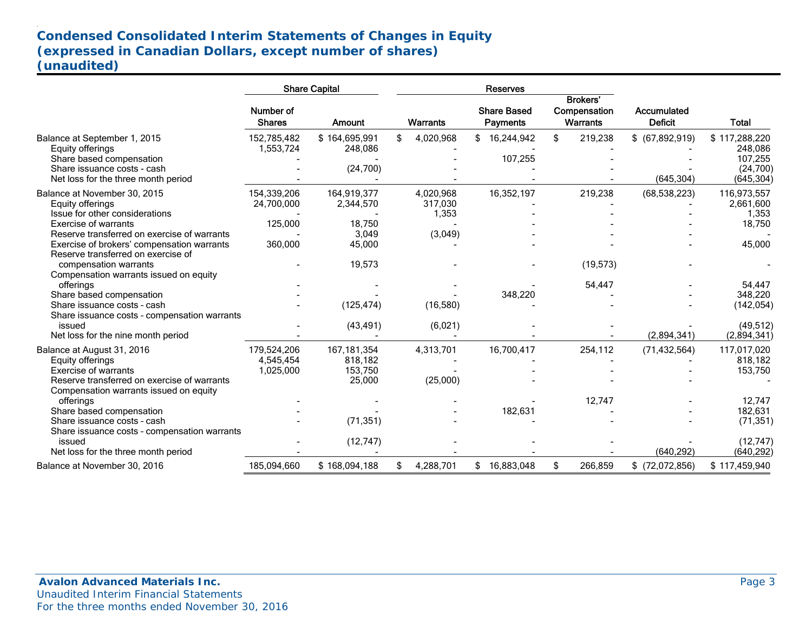# **Condensed Consolidated Interim Statements of Changes in Equity (expressed in Canadian Dollars, except number of shares) (unaudited)**

|                                                                                                                                                                                                                                                                                                                                          |                                                 | <b>Share Capital</b>                                                    |                                          | <b>Reserves</b>                       |                                             |                                |                                                                                                |
|------------------------------------------------------------------------------------------------------------------------------------------------------------------------------------------------------------------------------------------------------------------------------------------------------------------------------------------|-------------------------------------------------|-------------------------------------------------------------------------|------------------------------------------|---------------------------------------|---------------------------------------------|--------------------------------|------------------------------------------------------------------------------------------------|
|                                                                                                                                                                                                                                                                                                                                          | Number of<br><b>Shares</b>                      | <b>Amount</b>                                                           | <b>Warrants</b>                          | <b>Share Based</b><br><b>Payments</b> | Brokers'<br>Compensation<br><b>Warrants</b> | Accumulated<br><b>Deficit</b>  | <b>Total</b>                                                                                   |
| Balance at September 1, 2015<br>Equity offerings<br>Share based compensation<br>Share issuance costs - cash<br>Net loss for the three month period                                                                                                                                                                                       | 152,785,482<br>1,553,724                        | \$164,695,991<br>248,086<br>(24,700)                                    | \$<br>4,020,968                          | 16,244,942<br>107,255                 | \$<br>219,238                               | $$$ (67,892,919)<br>(645, 304) | \$117,288,220<br>248.086<br>107,255<br>(24,700)<br>(645, 304)                                  |
| Balance at November 30, 2015<br>Equity offerings<br>Issue for other considerations<br>Exercise of warrants<br>Reserve transferred on exercise of warrants<br>Exercise of brokers' compensation warrants<br>Reserve transferred on exercise of                                                                                            | 154,339,206<br>24,700,000<br>125,000<br>360,000 | 164,919,377<br>2,344,570<br>18,750<br>3,049<br>45,000                   | 4,020,968<br>317,030<br>1,353<br>(3,049) | 16,352,197                            | 219,238                                     | (68, 538, 223)                 | 116,973,557<br>2,661,600<br>1,353<br>18,750<br>45,000                                          |
| compensation warrants<br>Compensation warrants issued on equity<br>offerings<br>Share based compensation<br>Share issuance costs - cash<br>Share issuance costs - compensation warrants<br>issued<br>Net loss for the nine month period                                                                                                  |                                                 | 19,573<br>(125, 474)<br>(43, 491)                                       | (16,580)<br>(6,021)                      | 348,220                               | (19, 573)<br>54,447                         | (2,894,341)                    | 54,447<br>348,220<br>(142, 054)<br>(49, 512)<br>(2,894,341)                                    |
| Balance at August 31, 2016<br>Equity offerings<br>Exercise of warrants<br>Reserve transferred on exercise of warrants<br>Compensation warrants issued on equity<br>offerings<br>Share based compensation<br>Share issuance costs - cash<br>Share issuance costs - compensation warrants<br>issued<br>Net loss for the three month period | 179,524,206<br>4,545,454<br>1,025,000           | 167, 181, 354<br>818,182<br>153,750<br>25,000<br>(71, 351)<br>(12, 747) | 4,313,701<br>(25,000)                    | 16,700,417<br>182,631                 | 254,112<br>12,747                           | (71, 432, 564)<br>(640, 292)   | 117,017,020<br>818,182<br>153,750<br>12,747<br>182,631<br>(71, 351)<br>(12, 747)<br>(640, 292) |
| Balance at November 30, 2016                                                                                                                                                                                                                                                                                                             | 185,094,660                                     | \$168,094,188                                                           | 4,288,701                                | 16,883,048                            | \$<br>266,859                               | $$$ (72,072,856)               | \$117,459,940                                                                                  |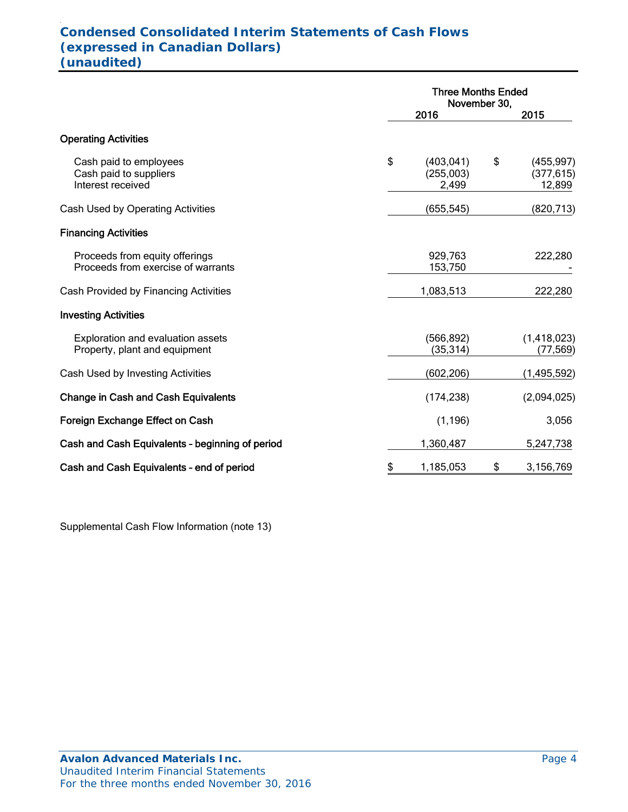## . **Condensed Consolidated Interim Statements of Cash Flows (expressed in Canadian Dollars) (unaudited)**

|                                                                       | <b>Three Months Ended</b><br>November 30, |    |                                    |
|-----------------------------------------------------------------------|-------------------------------------------|----|------------------------------------|
|                                                                       | 2016                                      |    | 2015                               |
| <b>Operating Activities</b>                                           |                                           |    |                                    |
| Cash paid to employees<br>Cash paid to suppliers<br>Interest received | \$<br>(403, 041)<br>(255,003)<br>2,499    | \$ | (455, 997)<br>(377, 615)<br>12,899 |
| Cash Used by Operating Activities                                     | (655,545)                                 |    | (820, 713)                         |
| <b>Financing Activities</b>                                           |                                           |    |                                    |
| Proceeds from equity offerings<br>Proceeds from exercise of warrants  | 929,763<br>153,750                        |    | 222,280                            |
| Cash Provided by Financing Activities                                 | 1,083,513                                 |    | 222,280                            |
| <b>Investing Activities</b>                                           |                                           |    |                                    |
| Exploration and evaluation assets<br>Property, plant and equipment    | (566, 892)<br>(35, 314)                   |    | (1,418,023)<br>(77, 569)           |
| Cash Used by Investing Activities                                     | (602,206)                                 |    | (1, 495, 592)                      |
| <b>Change in Cash and Cash Equivalents</b>                            | (174, 238)                                |    | (2,094,025)                        |
| Foreign Exchange Effect on Cash                                       | (1, 196)                                  |    | 3,056                              |
| Cash and Cash Equivalents - beginning of period                       | 1,360,487                                 |    | 5,247,738                          |
| Cash and Cash Equivalents - end of period                             | \$<br>1,185,053                           | \$ | 3,156,769                          |

Supplemental Cash Flow Information (note 13)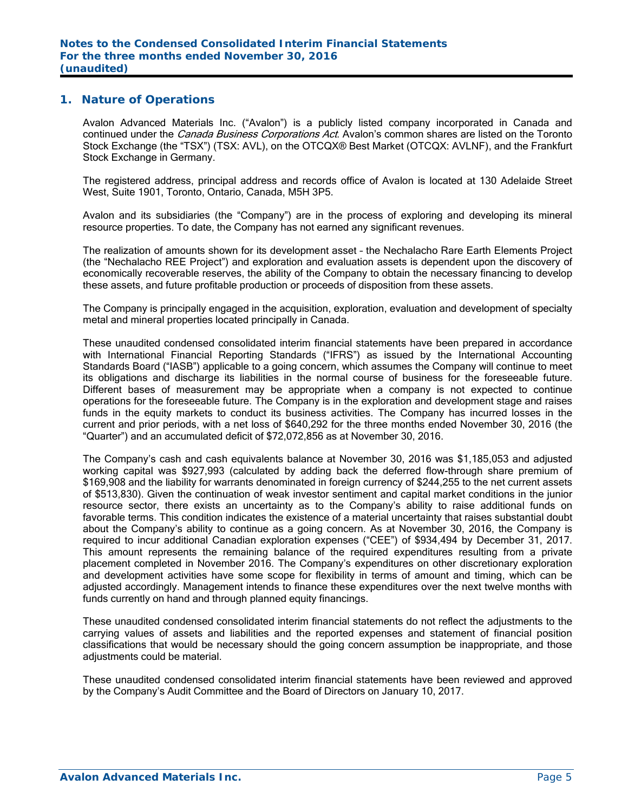#### **1. Nature of Operations**

Avalon Advanced Materials Inc. ("Avalon") is a publicly listed company incorporated in Canada and continued under the *Canada Business Corporations Act*. Avalon's common shares are listed on the Toronto Stock Exchange (the "TSX") (TSX: AVL), on the OTCQX® Best Market (OTCQX: AVLNF), and the Frankfurt Stock Exchange in Germany.

The registered address, principal address and records office of Avalon is located at 130 Adelaide Street West, Suite 1901, Toronto, Ontario, Canada, M5H 3P5.

Avalon and its subsidiaries (the "Company") are in the process of exploring and developing its mineral resource properties. To date, the Company has not earned any significant revenues.

The realization of amounts shown for its development asset – the Nechalacho Rare Earth Elements Project (the "Nechalacho REE Project") and exploration and evaluation assets is dependent upon the discovery of economically recoverable reserves, the ability of the Company to obtain the necessary financing to develop these assets, and future profitable production or proceeds of disposition from these assets.

The Company is principally engaged in the acquisition, exploration, evaluation and development of specialty metal and mineral properties located principally in Canada.

These unaudited condensed consolidated interim financial statements have been prepared in accordance with International Financial Reporting Standards ("IFRS") as issued by the International Accounting Standards Board ("IASB") applicable to a going concern, which assumes the Company will continue to meet its obligations and discharge its liabilities in the normal course of business for the foreseeable future. Different bases of measurement may be appropriate when a company is not expected to continue operations for the foreseeable future. The Company is in the exploration and development stage and raises funds in the equity markets to conduct its business activities. The Company has incurred losses in the current and prior periods, with a net loss of \$640,292 for the three months ended November 30, 2016 (the "Quarter") and an accumulated deficit of \$72,072,856 as at November 30, 2016.

The Company's cash and cash equivalents balance at November 30, 2016 was \$1,185,053 and adjusted working capital was \$927,993 (calculated by adding back the deferred flow-through share premium of \$169,908 and the liability for warrants denominated in foreign currency of \$244,255 to the net current assets of \$513,830). Given the continuation of weak investor sentiment and capital market conditions in the junior resource sector, there exists an uncertainty as to the Company's ability to raise additional funds on favorable terms. This condition indicates the existence of a material uncertainty that raises substantial doubt about the Company's ability to continue as a going concern. As at November 30, 2016, the Company is required to incur additional Canadian exploration expenses ("CEE") of \$934,494 by December 31, 2017. This amount represents the remaining balance of the required expenditures resulting from a private placement completed in November 2016. The Company's expenditures on other discretionary exploration and development activities have some scope for flexibility in terms of amount and timing, which can be adjusted accordingly. Management intends to finance these expenditures over the next twelve months with funds currently on hand and through planned equity financings.

These unaudited condensed consolidated interim financial statements do not reflect the adjustments to the carrying values of assets and liabilities and the reported expenses and statement of financial position classifications that would be necessary should the going concern assumption be inappropriate, and those adiustments could be material.

These unaudited condensed consolidated interim financial statements have been reviewed and approved by the Company's Audit Committee and the Board of Directors on January 10, 2017.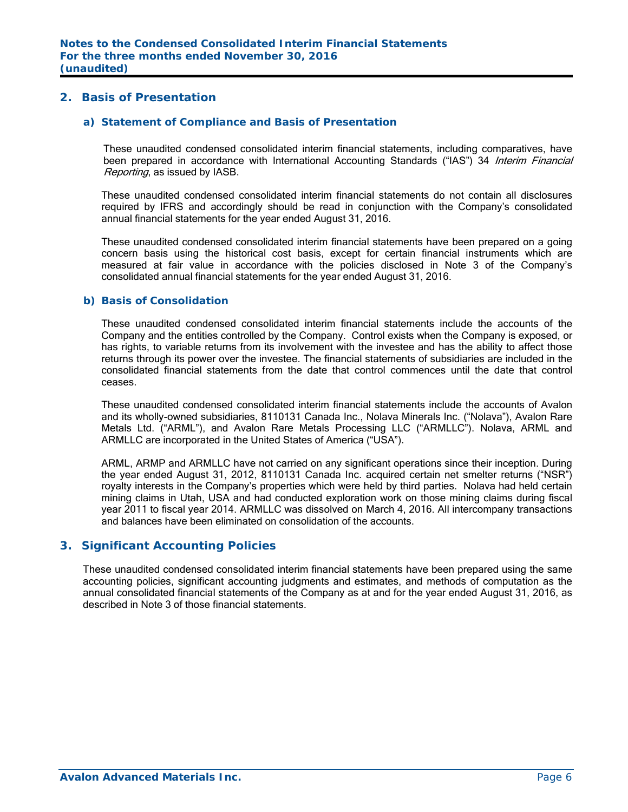## **2. Basis of Presentation**

#### *a) Statement of Compliance and Basis of Presentation*

These unaudited condensed consolidated interim financial statements, including comparatives, have been prepared in accordance with International Accounting Standards ("IAS") 34 Interim Financial Reporting, as issued by IASB.

These unaudited condensed consolidated interim financial statements do not contain all disclosures required by IFRS and accordingly should be read in conjunction with the Company's consolidated annual financial statements for the year ended August 31, 2016.

These unaudited condensed consolidated interim financial statements have been prepared on a going concern basis using the historical cost basis, except for certain financial instruments which are measured at fair value in accordance with the policies disclosed in Note 3 of the Company's consolidated annual financial statements for the year ended August 31, 2016.

#### *b) Basis of Consolidation*

These unaudited condensed consolidated interim financial statements include the accounts of the Company and the entities controlled by the Company. Control exists when the Company is exposed, or has rights, to variable returns from its involvement with the investee and has the ability to affect those returns through its power over the investee. The financial statements of subsidiaries are included in the consolidated financial statements from the date that control commences until the date that control ceases.

These unaudited condensed consolidated interim financial statements include the accounts of Avalon and its wholly-owned subsidiaries, 8110131 Canada Inc., Nolava Minerals Inc. ("Nolava"), Avalon Rare Metals Ltd. ("ARML"), and Avalon Rare Metals Processing LLC ("ARMLLC"). Nolava, ARML and ARMLLC are incorporated in the United States of America ("USA").

ARML, ARMP and ARMLLC have not carried on any significant operations since their inception. During the year ended August 31, 2012, 8110131 Canada Inc. acquired certain net smelter returns ("NSR") royalty interests in the Company's properties which were held by third parties. Nolava had held certain mining claims in Utah, USA and had conducted exploration work on those mining claims during fiscal year 2011 to fiscal year 2014. ARMLLC was dissolved on March 4, 2016. All intercompany transactions and balances have been eliminated on consolidation of the accounts.

## **3. Significant Accounting Policies**

These unaudited condensed consolidated interim financial statements have been prepared using the same accounting policies, significant accounting judgments and estimates, and methods of computation as the annual consolidated financial statements of the Company as at and for the year ended August 31, 2016, as described in Note 3 of those financial statements.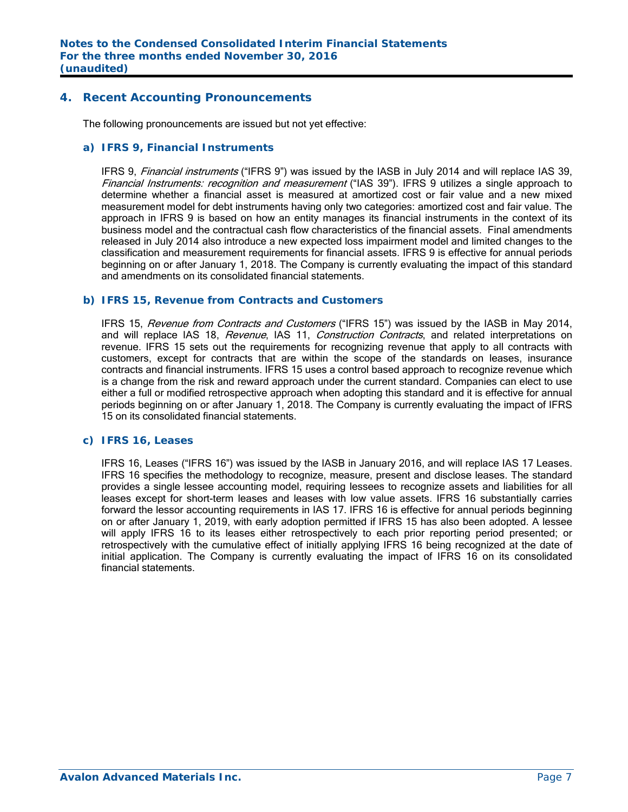## **4. Recent Accounting Pronouncements**

The following pronouncements are issued but not yet effective:

#### *a) IFRS 9, Financial Instruments*

IFRS 9, *Financial instruments* ("IFRS 9") was issued by the IASB in July 2014 and will replace IAS 39, Financial Instruments: recognition and measurement ("IAS 39"). IFRS 9 utilizes a single approach to determine whether a financial asset is measured at amortized cost or fair value and a new mixed measurement model for debt instruments having only two categories: amortized cost and fair value. The approach in IFRS 9 is based on how an entity manages its financial instruments in the context of its business model and the contractual cash flow characteristics of the financial assets. Final amendments released in July 2014 also introduce a new expected loss impairment model and limited changes to the classification and measurement requirements for financial assets. IFRS 9 is effective for annual periods beginning on or after January 1, 2018. The Company is currently evaluating the impact of this standard and amendments on its consolidated financial statements.

#### *b) IFRS 15, Revenue from Contracts and Customers*

IFRS 15, Revenue from Contracts and Customers ("IFRS 15") was issued by the IASB in May 2014, and will replace IAS 18, Revenue, IAS 11, Construction Contracts, and related interpretations on revenue. IFRS 15 sets out the requirements for recognizing revenue that apply to all contracts with customers, except for contracts that are within the scope of the standards on leases, insurance contracts and financial instruments. IFRS 15 uses a control based approach to recognize revenue which is a change from the risk and reward approach under the current standard. Companies can elect to use either a full or modified retrospective approach when adopting this standard and it is effective for annual periods beginning on or after January 1, 2018. The Company is currently evaluating the impact of IFRS 15 on its consolidated financial statements.

## *c) IFRS 16, Leases*

 IFRS 16, Leases ("IFRS 16") was issued by the IASB in January 2016, and will replace IAS 17 Leases. IFRS 16 specifies the methodology to recognize, measure, present and disclose leases. The standard provides a single lessee accounting model, requiring lessees to recognize assets and liabilities for all leases except for short-term leases and leases with low value assets. IFRS 16 substantially carries forward the lessor accounting requirements in IAS 17. IFRS 16 is effective for annual periods beginning on or after January 1, 2019, with early adoption permitted if IFRS 15 has also been adopted. A lessee will apply IFRS 16 to its leases either retrospectively to each prior reporting period presented; or retrospectively with the cumulative effect of initially applying IFRS 16 being recognized at the date of initial application. The Company is currently evaluating the impact of IFRS 16 on its consolidated financial statements.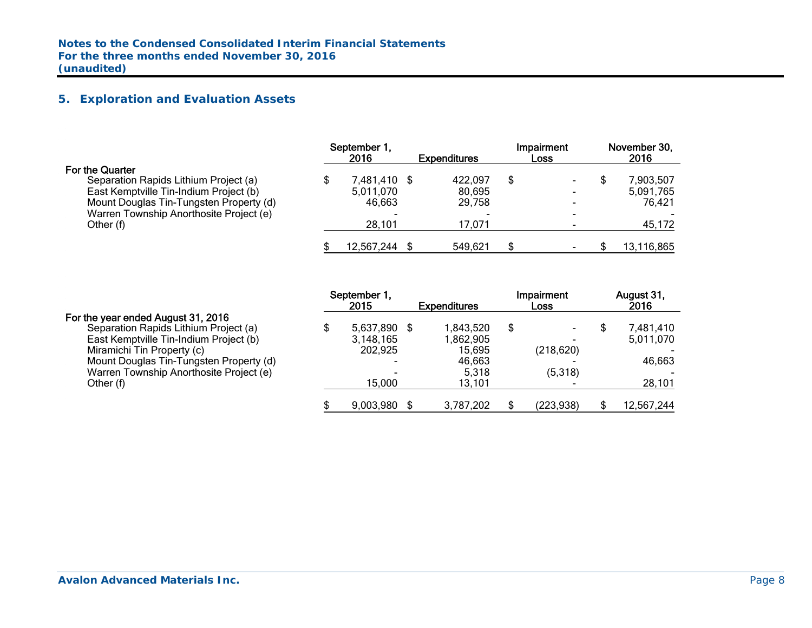# **5. Exploration and Evaluation Assets**

|                                         | September 1,<br>2016 | <b>Expenditures</b> | Impairment<br><b>Loss</b> | November 30,<br>2016 |
|-----------------------------------------|----------------------|---------------------|---------------------------|----------------------|
| <b>For the Quarter</b>                  |                      |                     |                           |                      |
| Separation Rapids Lithium Project (a)   | 7,481,410 \$         | 422,097             |                           | 7,903,507            |
| East Kemptville Tin-Indium Project (b)  | 5,011,070            | 80,695              |                           | 5,091,765            |
| Mount Douglas Tin-Tungsten Property (d) | 46.663               | 29.758              |                           | 76.421               |
| Warren Township Anorthosite Project (e) |                      |                     |                           |                      |
| Other (f)                               | 28,101               | 17,071              |                           | 45,172               |
|                                         | 12,567,244           | 549,621             |                           | 13,116,865           |

|                                         | September 1,<br>2015     | <b>Expenditures</b> |   | Impairment<br>Loss | August 31,<br>2016 |
|-----------------------------------------|--------------------------|---------------------|---|--------------------|--------------------|
| For the year ended August 31, 2016      |                          |                     |   |                    |                    |
| Separation Rapids Lithium Project (a)   | 5,637,890 \$             | 1,843,520           | S |                    | 7,481,410          |
| East Kemptville Tin-Indium Project (b)  | 3,148,165                | 1,862,905           |   |                    | 5,011,070          |
| Miramichi Tin Property (c)              | 202,925                  | 15,695              |   | (218, 620)         |                    |
| Mount Douglas Tin-Tungsten Property (d) | $\overline{\phantom{0}}$ | 46,663              |   |                    | 46,663             |
| Warren Township Anorthosite Project (e) | $\overline{\phantom{0}}$ | 5,318               |   | (5,318)            |                    |
| Other (f)                               | 15,000                   | 13,101              |   |                    | 28,101             |
|                                         | 9,003,980                | 3,787,202           |   | (223, 938)         | 12,567,244         |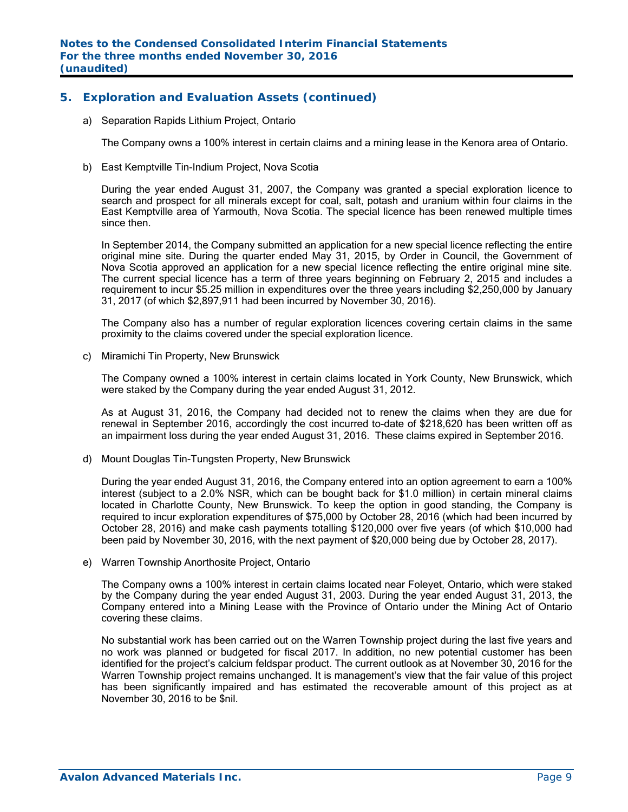## **5. Exploration and Evaluation Assets (continued)**

a) Separation Rapids Lithium Project, Ontario

The Company owns a 100% interest in certain claims and a mining lease in the Kenora area of Ontario.

b) East Kemptville Tin-Indium Project, Nova Scotia

During the year ended August 31, 2007, the Company was granted a special exploration licence to search and prospect for all minerals except for coal, salt, potash and uranium within four claims in the East Kemptville area of Yarmouth, Nova Scotia. The special licence has been renewed multiple times since then.

In September 2014, the Company submitted an application for a new special licence reflecting the entire original mine site. During the quarter ended May 31, 2015, by Order in Council, the Government of Nova Scotia approved an application for a new special licence reflecting the entire original mine site. The current special licence has a term of three years beginning on February 2, 2015 and includes a requirement to incur \$5.25 million in expenditures over the three years including \$2,250,000 by January 31, 2017 (of which \$2,897,911 had been incurred by November 30, 2016).

The Company also has a number of regular exploration licences covering certain claims in the same proximity to the claims covered under the special exploration licence.

c) Miramichi Tin Property, New Brunswick

The Company owned a 100% interest in certain claims located in York County, New Brunswick, which were staked by the Company during the year ended August 31, 2012.

As at August 31, 2016, the Company had decided not to renew the claims when they are due for renewal in September 2016, accordingly the cost incurred to-date of \$218,620 has been written off as an impairment loss during the year ended August 31, 2016. These claims expired in September 2016.

d) Mount Douglas Tin-Tungsten Property, New Brunswick

During the year ended August 31, 2016, the Company entered into an option agreement to earn a 100% interest (subject to a 2.0% NSR, which can be bought back for \$1.0 million) in certain mineral claims located in Charlotte County, New Brunswick. To keep the option in good standing, the Company is required to incur exploration expenditures of \$75,000 by October 28, 2016 (which had been incurred by October 28, 2016) and make cash payments totalling \$120,000 over five years (of which \$10,000 had been paid by November 30, 2016, with the next payment of \$20,000 being due by October 28, 2017).

e) Warren Township Anorthosite Project, Ontario

The Company owns a 100% interest in certain claims located near Foleyet, Ontario, which were staked by the Company during the year ended August 31, 2003. During the year ended August 31, 2013, the Company entered into a Mining Lease with the Province of Ontario under the Mining Act of Ontario covering these claims.

No substantial work has been carried out on the Warren Township project during the last five years and no work was planned or budgeted for fiscal 2017. In addition, no new potential customer has been identified for the project's calcium feldspar product. The current outlook as at November 30, 2016 for the Warren Township project remains unchanged. It is management's view that the fair value of this project has been significantly impaired and has estimated the recoverable amount of this project as at November 30, 2016 to be \$nil.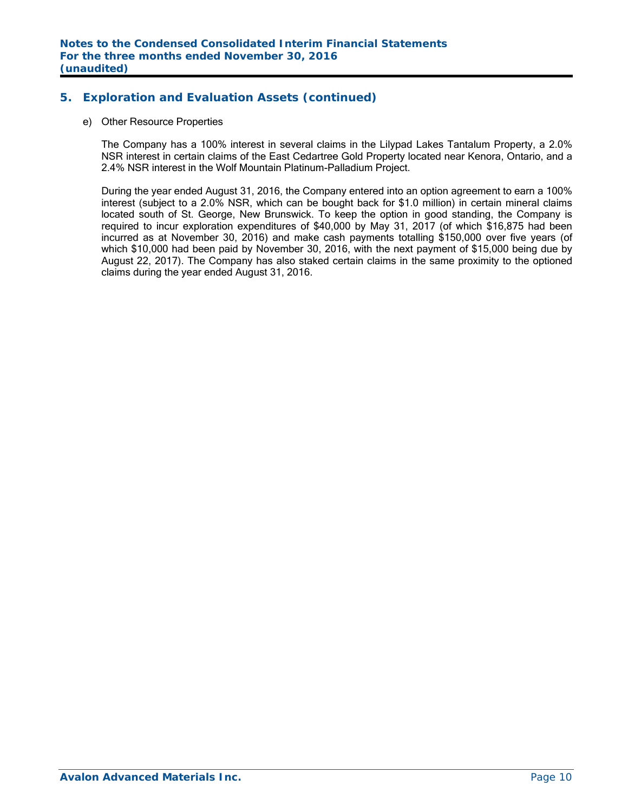## **5. Exploration and Evaluation Assets (continued)**

#### e) Other Resource Properties

The Company has a 100% interest in several claims in the Lilypad Lakes Tantalum Property, a 2.0% NSR interest in certain claims of the East Cedartree Gold Property located near Kenora, Ontario, and a 2.4% NSR interest in the Wolf Mountain Platinum-Palladium Project.

During the year ended August 31, 2016, the Company entered into an option agreement to earn a 100% interest (subject to a 2.0% NSR, which can be bought back for \$1.0 million) in certain mineral claims located south of St. George, New Brunswick. To keep the option in good standing, the Company is required to incur exploration expenditures of \$40,000 by May 31, 2017 (of which \$16,875 had been incurred as at November 30, 2016) and make cash payments totalling \$150,000 over five years (of which \$10,000 had been paid by November 30, 2016, with the next payment of \$15,000 being due by August 22, 2017). The Company has also staked certain claims in the same proximity to the optioned claims during the year ended August 31, 2016.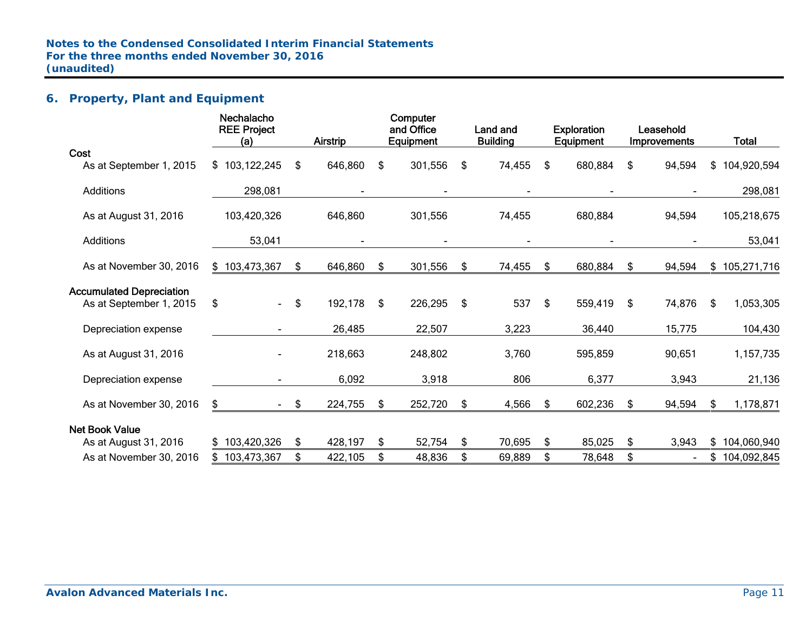# **6. Property, Plant and Equipment**

| Nechalacho<br><b>REE Project</b> |     |         |          |         |                                     | Land and |                 |         |                                        |        |                                  | <b>Total</b>  |
|----------------------------------|-----|---------|----------|---------|-------------------------------------|----------|-----------------|---------|----------------------------------------|--------|----------------------------------|---------------|
|                                  |     |         |          |         |                                     |          |                 |         |                                        |        |                                  |               |
| \$103,122,245                    | \$  | 646,860 | \$       | 301,556 | \$                                  | 74,455   | \$              | 680,884 | \$                                     | 94,594 |                                  | \$104,920,594 |
| 298,081                          |     |         |          |         |                                     |          |                 |         |                                        |        |                                  | 298,081       |
| 103,420,326                      |     | 646,860 |          | 301,556 |                                     | 74,455   |                 | 680,884 |                                        | 94,594 |                                  | 105,218,675   |
| 53,041                           |     |         |          |         |                                     |          |                 |         |                                        |        |                                  | 53,041        |
| \$103,473,367                    | \$  | 646,860 | \$       | 301,556 | \$                                  | 74,455   | \$              | 680,884 | \$                                     | 94,594 |                                  | \$105,271,716 |
|                                  |     |         |          |         |                                     |          |                 |         |                                        |        |                                  |               |
| \$<br>$\blacksquare$             | \$  | 192,178 | \$       | 226,295 | \$                                  | 537      | \$              | 559,419 | \$                                     | 74,876 | \$                               | 1,053,305     |
|                                  |     | 26,485  |          | 22,507  |                                     | 3,223    |                 | 36,440  |                                        | 15,775 |                                  | 104,430       |
|                                  |     | 218,663 |          | 248,802 |                                     | 3,760    |                 | 595,859 |                                        | 90,651 |                                  | 1,157,735     |
|                                  |     | 6,092   |          | 3,918   |                                     | 806      |                 | 6,377   |                                        | 3,943  |                                  | 21,136        |
| \$                               |     | 224,755 | \$       | 252,720 | \$                                  | 4,566    | S.              | 602,236 | \$                                     | 94,594 | -SS                              | 1,178,871     |
|                                  |     |         |          |         |                                     |          |                 |         |                                        |        |                                  |               |
| \$103,420,326                    | \$  | 428,197 | \$       | 52,754  | \$                                  | 70,695   | \$              | 85,025  | \$                                     | 3,943  |                                  | \$104,060,940 |
| \$103,473,367                    | \$  | 422,105 | \$       | 48,836  | \$                                  | 69,889   | \$              | 78,648  | \$                                     |        |                                  | \$104,092,845 |
|                                  | (a) | $-$ \$  | Airstrip |         | Computer<br>and Office<br>Equipment |          | <b>Building</b> |         | <b>Exploration</b><br><b>Equipment</b> |        | Leasehold<br><b>Improvements</b> |               |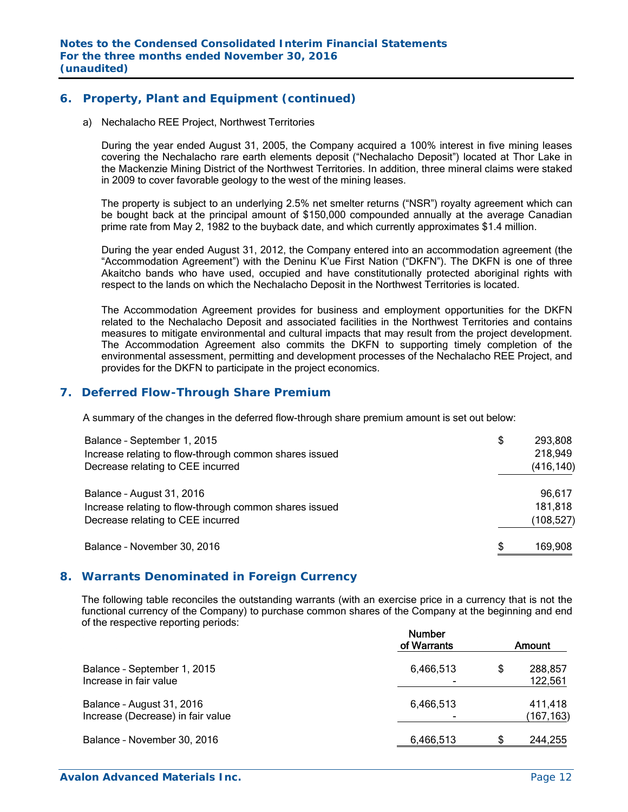## **6. Property, Plant and Equipment (continued)**

a) Nechalacho REE Project, Northwest Territories

During the year ended August 31, 2005, the Company acquired a 100% interest in five mining leases covering the Nechalacho rare earth elements deposit ("Nechalacho Deposit") located at Thor Lake in the Mackenzie Mining District of the Northwest Territories. In addition, three mineral claims were staked in 2009 to cover favorable geology to the west of the mining leases.

The property is subject to an underlying 2.5% net smelter returns ("NSR") royalty agreement which can be bought back at the principal amount of \$150,000 compounded annually at the average Canadian prime rate from May 2, 1982 to the buyback date, and which currently approximates \$1.4 million.

During the year ended August 31, 2012, the Company entered into an accommodation agreement (the "Accommodation Agreement") with the Deninu K'ue First Nation ("DKFN"). The DKFN is one of three Akaitcho bands who have used, occupied and have constitutionally protected aboriginal rights with respect to the lands on which the Nechalacho Deposit in the Northwest Territories is located.

The Accommodation Agreement provides for business and employment opportunities for the DKFN related to the Nechalacho Deposit and associated facilities in the Northwest Territories and contains measures to mitigate environmental and cultural impacts that may result from the project development. The Accommodation Agreement also commits the DKFN to supporting timely completion of the environmental assessment, permitting and development processes of the Nechalacho REE Project, and provides for the DKFN to participate in the project economics.

## **7. Deferred Flow-Through Share Premium**

A summary of the changes in the deferred flow-through share premium amount is set out below:

| Balance - September 1, 2015<br>Increase relating to flow-through common shares issued<br>Decrease relating to CEE incurred | \$<br>293,808<br>218,949<br>(416, 140) |
|----------------------------------------------------------------------------------------------------------------------------|----------------------------------------|
| Balance - August 31, 2016<br>Increase relating to flow-through common shares issued<br>Decrease relating to CEE incurred   | 96,617<br>181,818<br>(108, 527)        |
| Balance - November 30, 2016                                                                                                | \$<br>169,908                          |

## **8. Warrants Denominated in Foreign Currency**

The following table reconciles the outstanding warrants (with an exercise price in a currency that is not the functional currency of the Company) to purchase common shares of the Company at the beginning and end of the respective reporting periods:

|                                                                | <b>Number</b><br>of Warrants |    | Amount               |
|----------------------------------------------------------------|------------------------------|----|----------------------|
| Balance - September 1, 2015<br>Increase in fair value          | 6,466,513                    | S  | 288,857<br>122,561   |
| Balance - August 31, 2016<br>Increase (Decrease) in fair value | 6,466,513                    |    | 411,418<br>(167,163) |
| Balance - November 30, 2016                                    | 6,466,513                    | S. | 244,255              |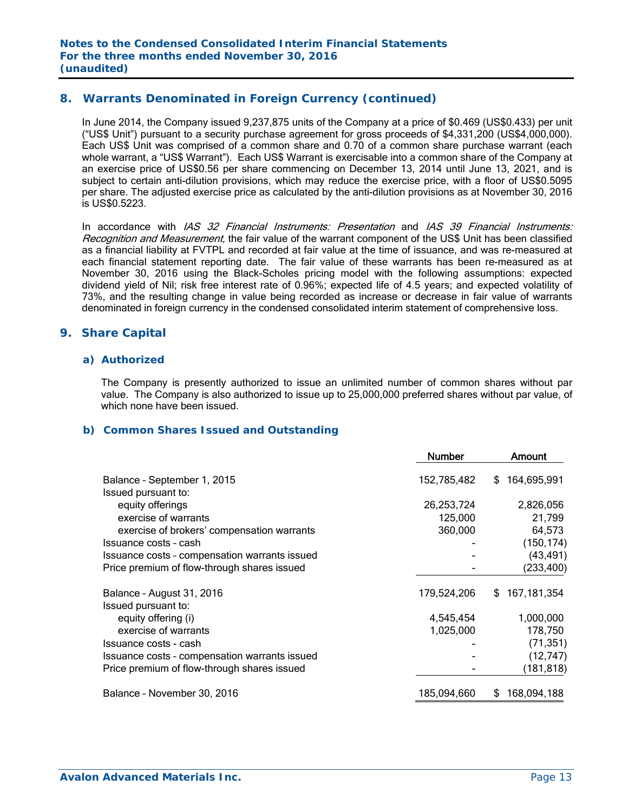## **8. Warrants Denominated in Foreign Currency (continued)**

In June 2014, the Company issued 9,237,875 units of the Company at a price of \$0.469 (US\$0.433) per unit ("US\$ Unit") pursuant to a security purchase agreement for gross proceeds of \$4,331,200 (US\$4,000,000). Each US\$ Unit was comprised of a common share and 0.70 of a common share purchase warrant (each whole warrant, a "US\$ Warrant"). Each US\$ Warrant is exercisable into a common share of the Company at an exercise price of US\$0.56 per share commencing on December 13, 2014 until June 13, 2021, and is subject to certain anti-dilution provisions, which may reduce the exercise price, with a floor of US\$0.5095 per share. The adjusted exercise price as calculated by the anti-dilution provisions as at November 30, 2016 is US\$0.5223.

In accordance with *IAS 32 Financial Instruments: Presentation* and *IAS 39 Financial Instruments:* Recognition and Measurement, the fair value of the warrant component of the US\$ Unit has been classified as a financial liability at FVTPL and recorded at fair value at the time of issuance, and was re-measured at each financial statement reporting date. The fair value of these warrants has been re-measured as at November 30, 2016 using the Black-Scholes pricing model with the following assumptions: expected dividend yield of Nil; risk free interest rate of 0.96%; expected life of 4.5 years; and expected volatility of 73%, and the resulting change in value being recorded as increase or decrease in fair value of warrants denominated in foreign currency in the condensed consolidated interim statement of comprehensive loss.

## **9. Share Capital**

#### *a) Authorized*

The Company is presently authorized to issue an unlimited number of common shares without par value. The Company is also authorized to issue up to 25,000,000 preferred shares without par value, of which none have been issued.

#### *b) Common Shares Issued and Outstanding*

|                                                    | <b>Number</b> | Amount            |
|----------------------------------------------------|---------------|-------------------|
| Balance - September 1, 2015<br>Issued pursuant to: | 152,785,482   | 164,695,991<br>S  |
| equity offerings                                   | 26,253,724    | 2,826,056         |
| exercise of warrants                               | 125,000       | 21,799            |
| exercise of brokers' compensation warrants         | 360,000       | 64,573            |
| Issuance costs - cash                              |               | (150, 174)        |
| Issuance costs - compensation warrants issued      |               | (43, 491)         |
| Price premium of flow-through shares issued        |               | (233, 400)        |
| Balance - August 31, 2016                          | 179,524,206   | 167,181,354<br>S. |
| Issued pursuant to:                                |               |                   |
| equity offering (i)                                | 4,545,454     | 1,000,000         |
| exercise of warrants                               | 1,025,000     | 178,750           |
| Issuance costs - cash                              |               | (71, 351)         |
| Issuance costs - compensation warrants issued      |               | (12, 747)         |
| Price premium of flow-through shares issued        |               | (181, 818)        |
| Balance - November 30, 2016                        | 185,094,660   | 168,094,188<br>\$ |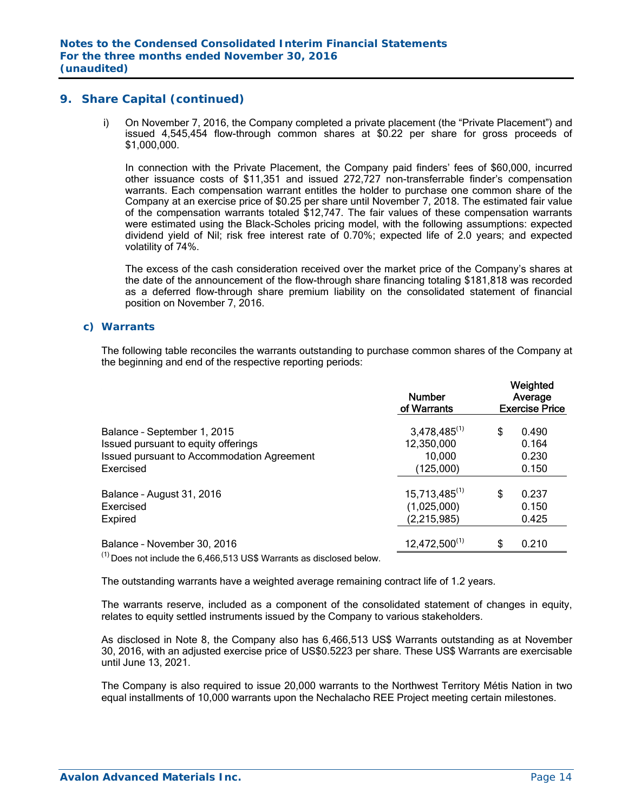i) On November 7, 2016, the Company completed a private placement (the "Private Placement") and issued 4,545,454 flow-through common shares at \$0.22 per share for gross proceeds of \$1,000,000.

In connection with the Private Placement, the Company paid finders' fees of \$60,000, incurred other issuance costs of \$11,351 and issued 272,727 non-transferrable finder's compensation warrants. Each compensation warrant entitles the holder to purchase one common share of the Company at an exercise price of \$0.25 per share until November 7, 2018. The estimated fair value of the compensation warrants totaled \$12,747. The fair values of these compensation warrants were estimated using the Black-Scholes pricing model, with the following assumptions: expected dividend yield of Nil; risk free interest rate of 0.70%; expected life of 2.0 years; and expected volatility of 74%.

The excess of the cash consideration received over the market price of the Company's shares at the date of the announcement of the flow-through share financing totaling \$181,818 was recorded as a deferred flow-through share premium liability on the consolidated statement of financial position on November 7, 2016.

#### *c) Warrants*

The following table reconciles the warrants outstanding to purchase common shares of the Company at the beginning and end of the respective reporting periods:

|                                                                                                                                                                                                                                                                                                                                                    | <b>Number</b><br>of Warrants                     | Weighted<br>Average<br><b>Exercise Price</b> |                         |  |  |
|----------------------------------------------------------------------------------------------------------------------------------------------------------------------------------------------------------------------------------------------------------------------------------------------------------------------------------------------------|--------------------------------------------------|----------------------------------------------|-------------------------|--|--|
| Balance - September 1, 2015<br>Issued pursuant to equity offerings<br>Issued pursuant to Accommodation Agreement                                                                                                                                                                                                                                   | $3,478,485^{(1)}$<br>12,350,000<br>10,000        | \$                                           | 0.490<br>0.164<br>0.230 |  |  |
| Exercised                                                                                                                                                                                                                                                                                                                                          | (125,000)                                        |                                              | 0.150                   |  |  |
| Balance - August 31, 2016<br>Exercised<br>Expired                                                                                                                                                                                                                                                                                                  | $15,713,485^{(1)}$<br>(1,025,000)<br>(2,215,985) | \$                                           | 0.237<br>0.150<br>0.425 |  |  |
| Balance - November 30, 2016<br>$\frac{1}{2}$ $\frac{1}{2}$ $\frac{1}{2}$ $\frac{1}{2}$ $\frac{1}{2}$ $\frac{1}{2}$ $\frac{1}{2}$ $\frac{1}{2}$ $\frac{1}{2}$ $\frac{1}{2}$ $\frac{1}{2}$ $\frac{1}{2}$ $\frac{1}{2}$ $\frac{1}{2}$ $\frac{1}{2}$ $\frac{1}{2}$ $\frac{1}{2}$ $\frac{1}{2}$ $\frac{1}{2}$ $\frac{1}{2}$ $\frac{1}{2}$ $\frac{1}{2}$ | $12,472,500^{(1)}$                               | \$                                           | 0.210                   |  |  |

 $\frac{(1)}{2}$  Does not include the 6,466,513 US\$ Warrants as disclosed below.

The outstanding warrants have a weighted average remaining contract life of 1.2 years.

The warrants reserve, included as a component of the consolidated statement of changes in equity, relates to equity settled instruments issued by the Company to various stakeholders.

As disclosed in Note 8, the Company also has 6,466,513 US\$ Warrants outstanding as at November 30, 2016, with an adjusted exercise price of US\$0.5223 per share. These US\$ Warrants are exercisable until June 13, 2021.

The Company is also required to issue 20,000 warrants to the Northwest Territory Métis Nation in two equal installments of 10,000 warrants upon the Nechalacho REE Project meeting certain milestones.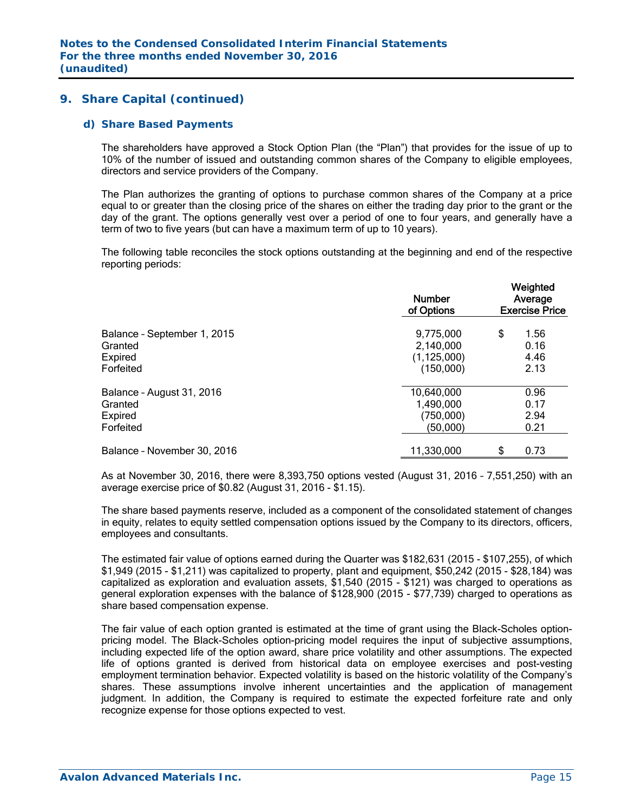#### *d) Share Based Payments*

The shareholders have approved a Stock Option Plan (the "Plan") that provides for the issue of up to 10% of the number of issued and outstanding common shares of the Company to eligible employees, directors and service providers of the Company.

The Plan authorizes the granting of options to purchase common shares of the Company at a price equal to or greater than the closing price of the shares on either the trading day prior to the grant or the day of the grant. The options generally vest over a period of one to four years, and generally have a term of two to five years (but can have a maximum term of up to 10 years).

The following table reconciles the stock options outstanding at the beginning and end of the respective reporting periods:

|                             | <b>Number</b><br>of Options | Weighted<br>Average<br><b>Exercise Price</b> |      |  |
|-----------------------------|-----------------------------|----------------------------------------------|------|--|
| Balance - September 1, 2015 | 9,775,000                   | \$                                           | 1.56 |  |
| Granted                     | 2,140,000                   |                                              | 0.16 |  |
| Expired                     | (1, 125, 000)               |                                              | 4.46 |  |
| Forfeited                   | (150,000)                   |                                              | 2.13 |  |
| Balance - August 31, 2016   | 10,640,000                  |                                              | 0.96 |  |
| Granted                     | 1,490,000                   |                                              | 0.17 |  |
| Expired                     | (750,000)                   |                                              | 2.94 |  |
| Forfeited                   | (50,000)                    |                                              | 0.21 |  |
| Balance - November 30, 2016 | 11,330,000                  | \$                                           | 0.73 |  |

As at November 30, 2016, there were 8,393,750 options vested (August 31, 2016 – 7,551,250) with an average exercise price of \$0.82 (August 31, 2016 - \$1.15).

The share based payments reserve, included as a component of the consolidated statement of changes in equity, relates to equity settled compensation options issued by the Company to its directors, officers, employees and consultants.

The estimated fair value of options earned during the Quarter was \$182,631 (2015 - \$107,255), of which \$1,949 (2015 - \$1,211) was capitalized to property, plant and equipment, \$50,242 (2015 - \$28,184) was capitalized as exploration and evaluation assets, \$1,540 (2015 - \$121) was charged to operations as general exploration expenses with the balance of \$128,900 (2015 - \$77,739) charged to operations as share based compensation expense.

The fair value of each option granted is estimated at the time of grant using the Black-Scholes optionpricing model. The Black-Scholes option-pricing model requires the input of subjective assumptions, including expected life of the option award, share price volatility and other assumptions. The expected life of options granted is derived from historical data on employee exercises and post-vesting employment termination behavior. Expected volatility is based on the historic volatility of the Company's shares. These assumptions involve inherent uncertainties and the application of management judgment. In addition, the Company is required to estimate the expected forfeiture rate and only recognize expense for those options expected to vest.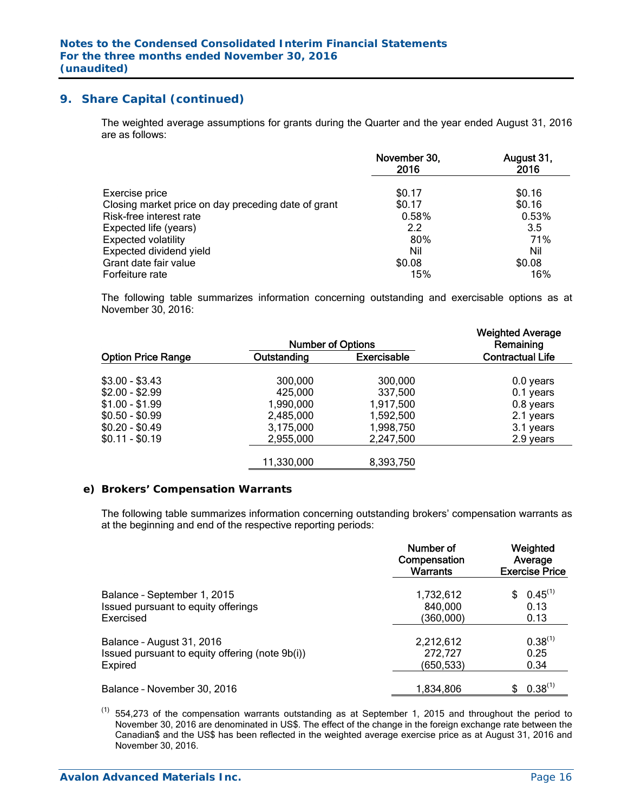The weighted average assumptions for grants during the Quarter and the year ended August 31, 2016 are as follows:

|                                                     | November 30,<br>2016 | August 31,<br>2016 |
|-----------------------------------------------------|----------------------|--------------------|
| Exercise price                                      | \$0.17               | \$0.16             |
| Closing market price on day preceding date of grant | \$0.17               | \$0.16             |
| Risk-free interest rate                             | 0.58%                | 0.53%              |
| Expected life (years)                               | 2.2                  | 3.5                |
| <b>Expected volatility</b>                          | 80%                  | 71%                |
| Expected dividend yield                             | Nil                  | Nil                |
| Grant date fair value                               | \$0.08               | \$0.08             |
| Forfeiture rate                                     | 15%                  | 16%                |

The following table summarizes information concerning outstanding and exercisable options as at November 30, 2016:

|                           | <b>Number of Options</b> |                    | <b>Weighted Average</b><br>Remaining |  |  |
|---------------------------|--------------------------|--------------------|--------------------------------------|--|--|
| <b>Option Price Range</b> | Outstanding              | <b>Exercisable</b> | <b>Contractual Life</b>              |  |  |
| $$3.00 - $3.43$           | 300,000                  | 300,000            | $0.0$ years                          |  |  |
| $$2.00 - $2.99$           | 425,000                  | 337,500            | $0.1$ years                          |  |  |
| $$1.00 - $1.99$           | 1,990,000                | 1,917,500          | 0.8 years                            |  |  |
| $$0.50 - $0.99$           | 2,485,000                | 1,592,500          | 2.1 years                            |  |  |
| $$0.20 - $0.49$           | 3,175,000                | 1,998,750          | 3.1 years                            |  |  |
| $$0.11 - $0.19$           | 2,955,000                | 2,247,500          | 2.9 years                            |  |  |
|                           | 11,330,000               | 8,393,750          |                                      |  |  |

#### *e) Brokers' Compensation Warrants*

The following table summarizes information concerning outstanding brokers' compensation warrants as at the beginning and end of the respective reporting periods:

|                                                 | Number of<br>Compensation<br><b>Warrants</b> | Weighted<br>Average<br><b>Exercise Price</b> |  |  |
|-------------------------------------------------|----------------------------------------------|----------------------------------------------|--|--|
| Balance - September 1, 2015                     | 1,732,612                                    | $0.45^{(1)}$                                 |  |  |
| Issued pursuant to equity offerings             | 840,000                                      | 0.13                                         |  |  |
| Exercised                                       | (360,000)                                    | 0.13                                         |  |  |
| Balance - August 31, 2016                       | 2,212,612                                    | $0.38^{(1)}$                                 |  |  |
| Issued pursuant to equity offering (note 9b(i)) | 272,727                                      | 0.25                                         |  |  |
| Expired                                         | (650,533)                                    | 0.34                                         |  |  |
| Balance - November 30, 2016                     | 1.834.806                                    | $0.38^{(1)}$                                 |  |  |

 $(1)$  554,273 of the compensation warrants outstanding as at September 1, 2015 and throughout the period to November 30, 2016 are denominated in US\$. The effect of the change in the foreign exchange rate between the Canadian\$ and the US\$ has been reflected in the weighted average exercise price as at August 31, 2016 and November 30, 2016.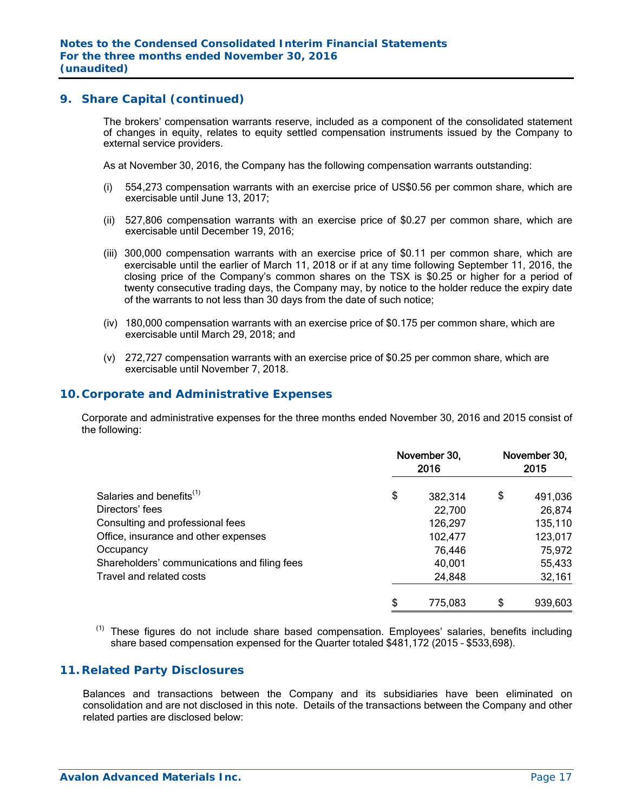The brokers' compensation warrants reserve, included as a component of the consolidated statement of changes in equity, relates to equity settled compensation instruments issued by the Company to external service providers.

As at November 30, 2016, the Company has the following compensation warrants outstanding:

- (i) 554,273 compensation warrants with an exercise price of US\$0.56 per common share, which are exercisable until June 13, 2017;
- (ii) 527,806 compensation warrants with an exercise price of \$0.27 per common share, which are exercisable until December 19, 2016;
- (iii) 300,000 compensation warrants with an exercise price of \$0.11 per common share, which are exercisable until the earlier of March 11, 2018 or if at any time following September 11, 2016, the closing price of the Company's common shares on the TSX is \$0.25 or higher for a period of twenty consecutive trading days, the Company may, by notice to the holder reduce the expiry date of the warrants to not less than 30 days from the date of such notice;
- (iv) 180,000 compensation warrants with an exercise price of \$0.175 per common share, which are exercisable until March 29, 2018; and
- (v) 272,727 compensation warrants with an exercise price of \$0.25 per common share, which are exercisable until November 7, 2018.

## **10. Corporate and Administrative Expenses**

 Corporate and administrative expenses for the three months ended November 30, 2016 and 2015 consist of the following:

|                                              | November 30,<br>2016 | November 30,<br>2015 |         |  |
|----------------------------------------------|----------------------|----------------------|---------|--|
| Salaries and benefits <sup>(1)</sup>         | \$<br>382,314        | \$                   | 491,036 |  |
| Directors' fees                              | 22,700               |                      | 26,874  |  |
| Consulting and professional fees             | 126,297              |                      | 135,110 |  |
| Office, insurance and other expenses         | 102,477              |                      | 123,017 |  |
| Occupancy                                    | 76,446               |                      | 75,972  |  |
| Shareholders' communications and filing fees | 40,001               |                      | 55,433  |  |
| Travel and related costs                     | 24,848               |                      | 32,161  |  |
|                                              | \$<br>775,083        | S                    | 939,603 |  |

 $(1)$  These figures do not include share based compensation. Employees' salaries, benefits including share based compensation expensed for the Quarter totaled \$481,172 (2015 – \$533,698).

## **11. Related Party Disclosures**

Balances and transactions between the Company and its subsidiaries have been eliminated on consolidation and are not disclosed in this note. Details of the transactions between the Company and other related parties are disclosed below: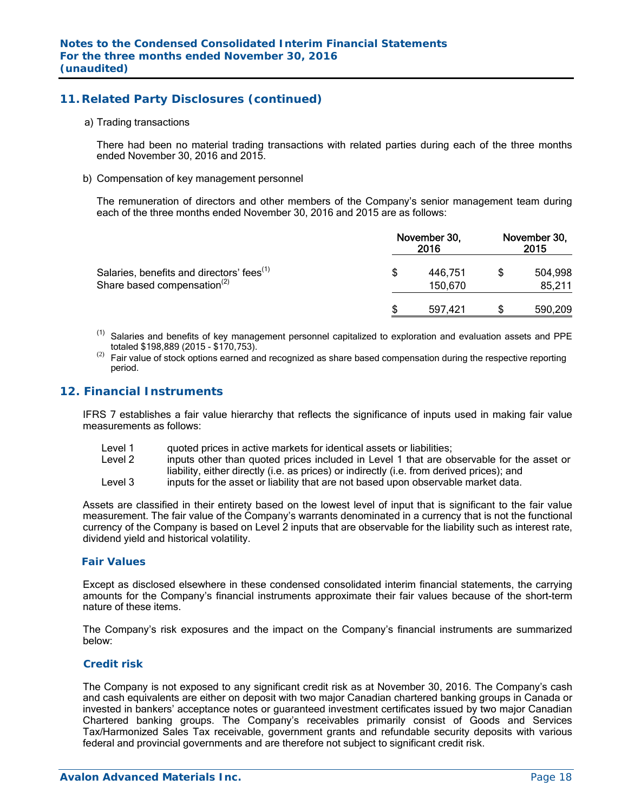## **11. Related Party Disclosures (continued)**

#### a) Trading transactions

There had been no material trading transactions with related parties during each of the three months ended November 30, 2016 and 2015.

#### b) Compensation of key management personnel

The remuneration of directors and other members of the Company's senior management team during each of the three months ended November 30, 2016 and 2015 are as follows:

|                                                                                                  | November 30, | November 30,<br>2015 |  |                   |
|--------------------------------------------------------------------------------------------------|--------------|----------------------|--|-------------------|
| Salaries, benefits and directors' fees <sup>(1)</sup><br>Share based compensation <sup>(2)</sup> | S            | 446.751<br>150,670   |  | 504,998<br>85,211 |
|                                                                                                  |              | 597.421              |  | 590,209           |

- (1) Salaries and benefits of key management personnel capitalized to exploration and evaluation assets and PPE totaled \$198,889 (2015 - \$170,753).
- Fair value of stock options earned and recognized as share based compensation during the respective reporting period.

## **12. Financial Instruments**

IFRS 7 establishes a fair value hierarchy that reflects the significance of inputs used in making fair value measurements as follows:

- Level 1 duoted prices in active markets for identical assets or liabilities;<br>Level 2 linnuts other than quoted prices included in Level 1 that are of
- inputs other than quoted prices included in Level 1 that are observable for the asset or liability, either directly (i.e. as prices) or indirectly (i.e. from derived prices); and
- Level 3 inputs for the asset or liability that are not based upon observable market data.

Assets are classified in their entirety based on the lowest level of input that is significant to the fair value measurement. The fair value of the Company's warrants denominated in a currency that is not the functional currency of the Company is based on Level 2 inputs that are observable for the liability such as interest rate, dividend yield and historical volatility.

## *Fair Values*

Except as disclosed elsewhere in these condensed consolidated interim financial statements, the carrying amounts for the Company's financial instruments approximate their fair values because of the short-term nature of these items.

The Company's risk exposures and the impact on the Company's financial instruments are summarized below:

#### *Credit risk*

The Company is not exposed to any significant credit risk as at November 30, 2016. The Company's cash and cash equivalents are either on deposit with two major Canadian chartered banking groups in Canada or invested in bankers' acceptance notes or guaranteed investment certificates issued by two major Canadian Chartered banking groups. The Company's receivables primarily consist of Goods and Services Tax/Harmonized Sales Tax receivable, government grants and refundable security deposits with various federal and provincial governments and are therefore not subject to significant credit risk.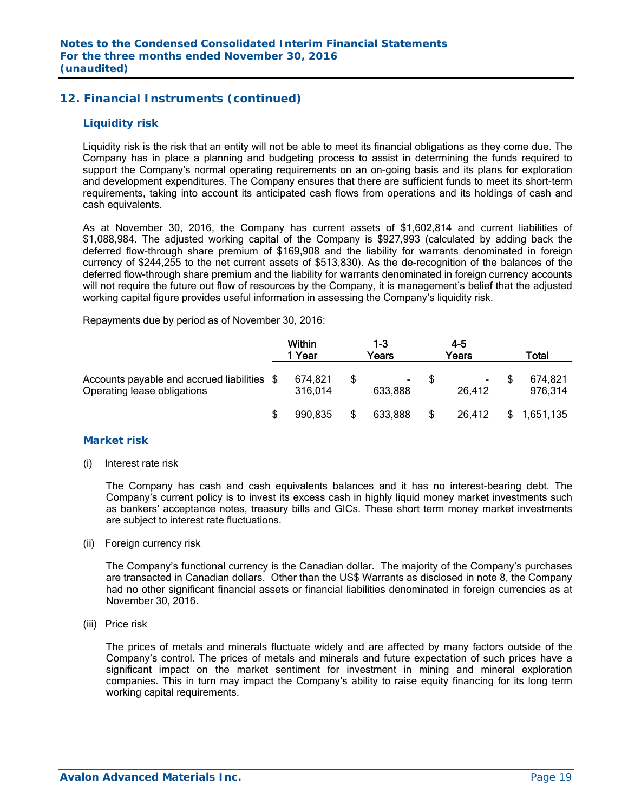## **12. Financial Instruments (continued)**

#### *Liquidity risk*

Liquidity risk is the risk that an entity will not be able to meet its financial obligations as they come due. The Company has in place a planning and budgeting process to assist in determining the funds required to support the Company's normal operating requirements on an on-going basis and its plans for exploration and development expenditures. The Company ensures that there are sufficient funds to meet its short-term requirements, taking into account its anticipated cash flows from operations and its holdings of cash and cash equivalents.

As at November 30, 2016, the Company has current assets of \$1,602,814 and current liabilities of \$1,088,984. The adjusted working capital of the Company is \$927,993 (calculated by adding back the deferred flow-through share premium of \$169,908 and the liability for warrants denominated in foreign currency of \$244,255 to the net current assets of \$513,830). As the de-recognition of the balances of the deferred flow-through share premium and the liability for warrants denominated in foreign currency accounts will not require the future out flow of resources by the Company, it is management's belief that the adjusted working capital figure provides useful information in assessing the Company's liquidity risk.

Repayments due by period as of November 30, 2016:

|                                                                            | <b>Within</b><br>Year | $1-3$<br>Years | 4-5<br>Years | Total              |
|----------------------------------------------------------------------------|-----------------------|----------------|--------------|--------------------|
| Accounts payable and accrued liabilities \$<br>Operating lease obligations | 674,821<br>316,014    | ۰.<br>633.888  | ۰<br>26.412  | 674,821<br>976,314 |
|                                                                            | 990,835               | 633,888        | 26,412       | 1,651,135          |

#### *Market risk*

(i) Interest rate risk

 The Company has cash and cash equivalents balances and it has no interest-bearing debt. The Company's current policy is to invest its excess cash in highly liquid money market investments such as bankers' acceptance notes, treasury bills and GICs. These short term money market investments are subject to interest rate fluctuations.

#### (ii) Foreign currency risk

 The Company's functional currency is the Canadian dollar. The majority of the Company's purchases are transacted in Canadian dollars. Other than the US\$ Warrants as disclosed in note 8, the Company had no other significant financial assets or financial liabilities denominated in foreign currencies as at November 30, 2016.

(iii) Price risk

 The prices of metals and minerals fluctuate widely and are affected by many factors outside of the Company's control. The prices of metals and minerals and future expectation of such prices have a significant impact on the market sentiment for investment in mining and mineral exploration companies. This in turn may impact the Company's ability to raise equity financing for its long term working capital requirements.